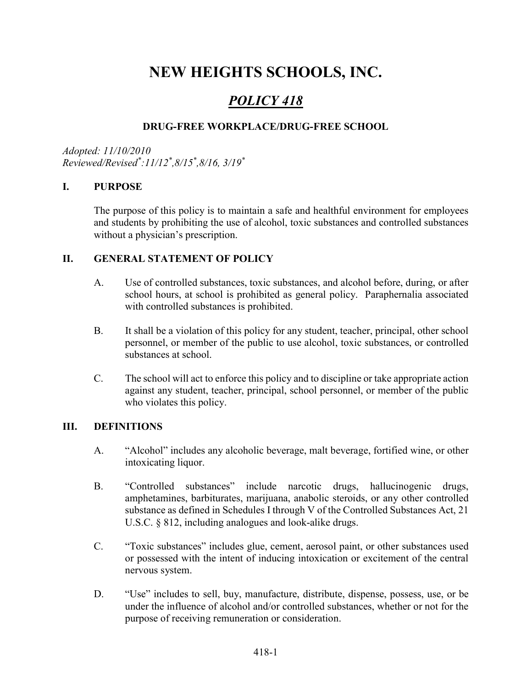# NEW HEIGHTS SCHOOLS, INC.

# POLICY 418

# DRUG-FREE WORKPLACE/DRUG-FREE SCHOOL

Adopted: 11/10/2010 Reviewed/Revised\* :11/12\* ,8/15\* ,8/16, 3/19\*

#### I. PURPOSE

The purpose of this policy is to maintain a safe and healthful environment for employees and students by prohibiting the use of alcohol, toxic substances and controlled substances without a physician's prescription.

#### II. GENERAL STATEMENT OF POLICY

- A. Use of controlled substances, toxic substances, and alcohol before, during, or after school hours, at school is prohibited as general policy. Paraphernalia associated with controlled substances is prohibited.
- B. It shall be a violation of this policy for any student, teacher, principal, other school personnel, or member of the public to use alcohol, toxic substances, or controlled substances at school.
- C. The school will act to enforce this policy and to discipline or take appropriate action against any student, teacher, principal, school personnel, or member of the public who violates this policy.

### III. DEFINITIONS

- A. "Alcohol" includes any alcoholic beverage, malt beverage, fortified wine, or other intoxicating liquor.
- B. "Controlled substances" include narcotic drugs, hallucinogenic drugs, amphetamines, barbiturates, marijuana, anabolic steroids, or any other controlled substance as defined in Schedules I through V of the Controlled Substances Act, 21 U.S.C. § 812, including analogues and look-alike drugs.
- C. "Toxic substances" includes glue, cement, aerosol paint, or other substances used or possessed with the intent of inducing intoxication or excitement of the central nervous system.
- D. "Use" includes to sell, buy, manufacture, distribute, dispense, possess, use, or be under the influence of alcohol and/or controlled substances, whether or not for the purpose of receiving remuneration or consideration.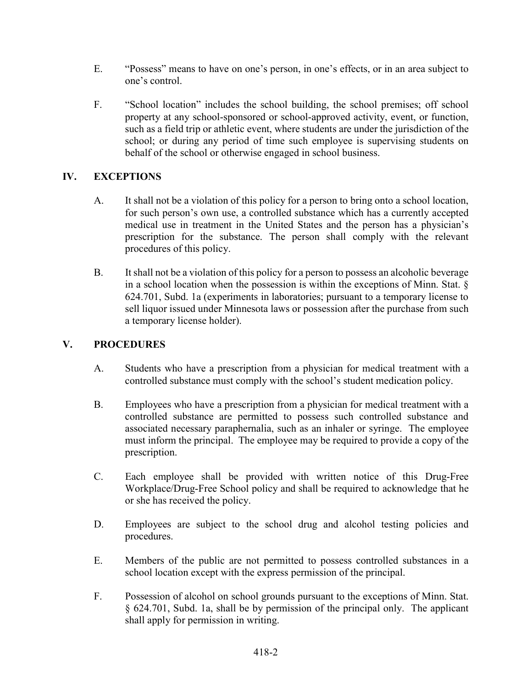- E. "Possess" means to have on one's person, in one's effects, or in an area subject to one's control.
- F. "School location" includes the school building, the school premises; off school property at any school-sponsored or school-approved activity, event, or function, such as a field trip or athletic event, where students are under the jurisdiction of the school; or during any period of time such employee is supervising students on behalf of the school or otherwise engaged in school business.

# IV. EXCEPTIONS

- A. It shall not be a violation of this policy for a person to bring onto a school location, for such person's own use, a controlled substance which has a currently accepted medical use in treatment in the United States and the person has a physician's prescription for the substance. The person shall comply with the relevant procedures of this policy.
- B. It shall not be a violation of this policy for a person to possess an alcoholic beverage in a school location when the possession is within the exceptions of Minn. Stat. § 624.701, Subd. 1a (experiments in laboratories; pursuant to a temporary license to sell liquor issued under Minnesota laws or possession after the purchase from such a temporary license holder).

# V. PROCEDURES

- A. Students who have a prescription from a physician for medical treatment with a controlled substance must comply with the school's student medication policy.
- B. Employees who have a prescription from a physician for medical treatment with a controlled substance are permitted to possess such controlled substance and associated necessary paraphernalia, such as an inhaler or syringe. The employee must inform the principal. The employee may be required to provide a copy of the prescription.
- C. Each employee shall be provided with written notice of this Drug-Free Workplace/Drug-Free School policy and shall be required to acknowledge that he or she has received the policy.
- D. Employees are subject to the school drug and alcohol testing policies and procedures.
- E. Members of the public are not permitted to possess controlled substances in a school location except with the express permission of the principal.
- F. Possession of alcohol on school grounds pursuant to the exceptions of Minn. Stat. § 624.701, Subd. 1a, shall be by permission of the principal only. The applicant shall apply for permission in writing.